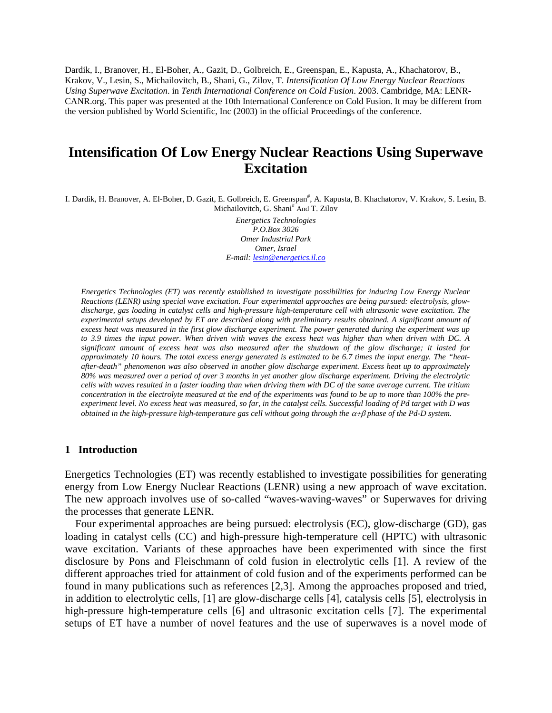Dardik, I., Branover, H., El-Boher, A., Gazit, D., Golbreich, E., Greenspan, E., Kapusta, A., Khachatorov, B., Krakov, V., Lesin, S., Michailovitch, B., Shani, G., Zilov, T. *Intensification Of Low Energy Nuclear Reactions Using Superwave Excitation*. in *Tenth International Conference on Cold Fusion*. 2003. Cambridge, MA: LENR-CANR.org. This paper was presented at the 10th International Conference on Cold Fusion. It may be different from the version published by World Scientific, Inc (2003) in the official Proceedings of the conference.

# **Intensification Of Low Energy Nuclear Reactions Using Superwave Excitation**

I. Dardik, H. Branover, A. El-Boher, D. Gazit, E. Golbreich, E. Greenspan<sup>#</sup>, A. Kapusta, B. Khachatorov, V. Krakov, S. Lesin, B. Michailovitch, G. Shani<sup>#</sup> And T. Zilov

> *Energetics Technologies P.O.Box 3026 Omer Industrial Park Omer, Israel E-mail: [lesin@energetics.il.co](mailto:lesin@energetics.il.co)*

*Energetics Technologies (ET) was recently established to investigate possibilities for inducing Low Energy Nuclear Reactions (LENR) using special wave excitation. Four experimental approaches are being pursued: electrolysis, glowdischarge, gas loading in catalyst cells and high-pressure high-temperature cell with ultrasonic wave excitation. The experimental setups developed by ET are described along with preliminary results obtained. A significant amount of*  excess heat was measured in the first glow discharge experiment. The power generated during the experiment was up *to 3.9 times the input power. When driven with waves the excess heat was higher than when driven with DC. A significant amount of excess heat was also measured after the shutdown of the glow discharge; it lasted for approximately 10 hours. The total excess energy generated is estimated to be 6.7 times the input energy. The "heatafter-death" phenomenon was also observed in another glow discharge experiment. Excess heat up to approximately 80% was measured over a period of over 3 months in yet another glow discharge experiment. Driving the electrolytic cells with waves resulted in a faster loading than when driving them with DC of the same average current. The tritium concentration in the electrolyte measured at the end of the experiments was found to be up to more than 100% the preexperiment level. No excess heat was measured, so far, in the catalyst cells. Successful loading of Pd target with D was obtained in the high-pressure high-temperature gas cell without going through the* α+β *phase of the Pd-D system.* 

#### **1 Introduction**

Energetics Technologies (ET) was recently established to investigate possibilities for generating energy from Low Energy Nuclear Reactions (LENR) using a new approach of wave excitation. The new approach involves use of so-called "waves-waving-waves" or Superwaves for driving the processes that generate LENR.

Four experimental approaches are being pursued: electrolysis (EC), glow-discharge (GD), gas loading in catalyst cells (CC) and high-pressure high-temperature cell (HPTC) with ultrasonic wave excitation. Variants of these approaches have been experimented with since the first disclosure by Pons and Fleischmann of cold fusion in electrolytic cells [1]. A review of the different approaches tried for attainment of cold fusion and of the experiments performed can be found in many publications such as references [2,3]. Among the approaches proposed and tried, in addition to electrolytic cells, [1] are glow-discharge cells [4], catalysis cells [5], electrolysis in high-pressure high-temperature cells [6] and ultrasonic excitation cells [7]. The experimental setups of ET have a number of novel features and the use of superwaves is a novel mode of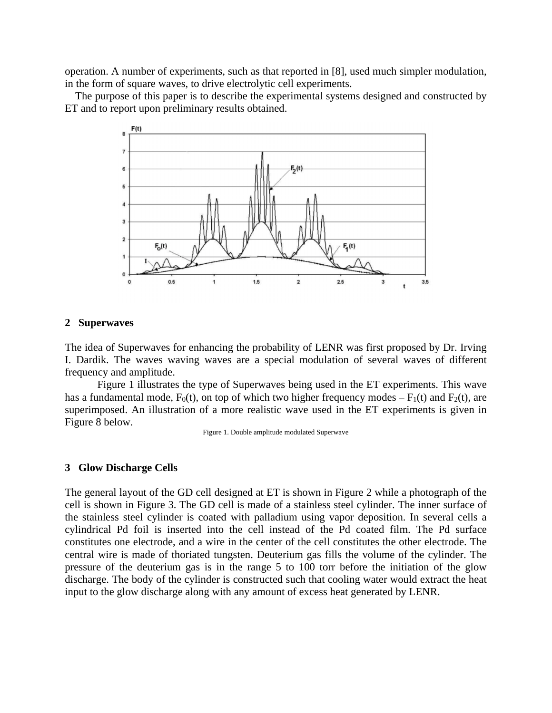operation. A number of experiments, such as that reported in [8], used much simpler modulation, in the form of square waves, to drive electrolytic cell experiments.

The purpose of this paper is to describe the experimental systems designed and constructed by ET and to report upon preliminary results obtained.



## **2 Superwaves**

The idea of Superwaves for enhancing the probability of LENR was first proposed by Dr. Irving I. Dardik. The waves waving waves are a special modulation of several waves of different frequency and amplitude.

Figure 1 illustrates the type of Superwaves being used in the ET experiments. This wave has a fundamental mode,  $F_0(t)$ , on top of which two higher frequency modes –  $F_1(t)$  and  $F_2(t)$ , are superimposed. An illustration of a more realistic wave used in the ET experiments is given in Figure 8 below.

Figure 1. Double amplitude modulated Superwave

## **3 Glow Discharge Cells**

The general layout of the GD cell designed at ET is shown in Figure 2 while a photograph of the cell is shown in Figure 3. The GD cell is made of a stainless steel cylinder. The inner surface of the stainless steel cylinder is coated with palladium using vapor deposition. In several cells a cylindrical Pd foil is inserted into the cell instead of the Pd coated film. The Pd surface constitutes one electrode, and a wire in the center of the cell constitutes the other electrode. The central wire is made of thoriated tungsten. Deuterium gas fills the volume of the cylinder. The pressure of the deuterium gas is in the range 5 to 100 torr before the initiation of the glow discharge. The body of the cylinder is constructed such that cooling water would extract the heat input to the glow discharge along with any amount of excess heat generated by LENR.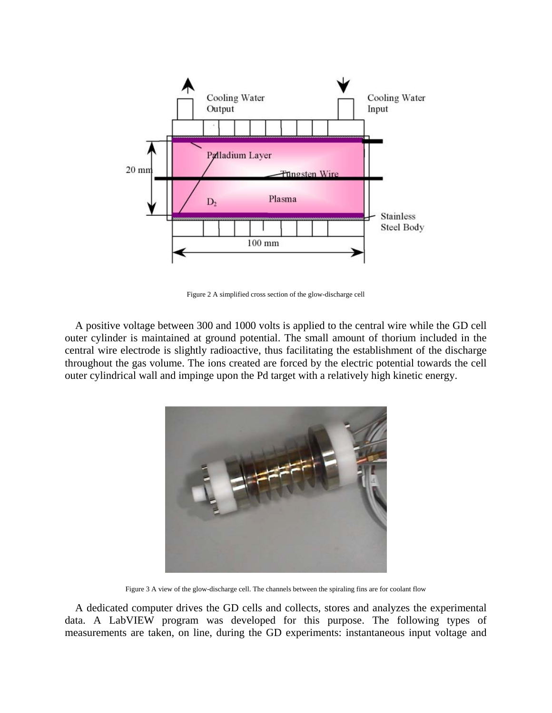

Figure 2 A simplified cross section of the glow-discharge cell

A positive voltage between 300 and 1000 volts is applied to the central wire while the GD cell outer cylinder is maintained at ground potential. The small amount of thorium included in the central wire electrode is slightly radioactive, thus facilitating the establishment of the discharge throughout the gas volume. The ions created are forced by the electric potential towards the cell outer cylindrical wall and impinge upon the Pd target with a relatively high kinetic energy.



Figure 3 A view of the glow-discharge cell. The channels between the spiraling fins are for coolant flow

A dedicated computer drives the GD cells and collects, stores and analyzes the experimental data. A LabVIEW program was developed for this purpose. The following types of measurements are taken, on line, during the GD experiments: instantaneous input voltage and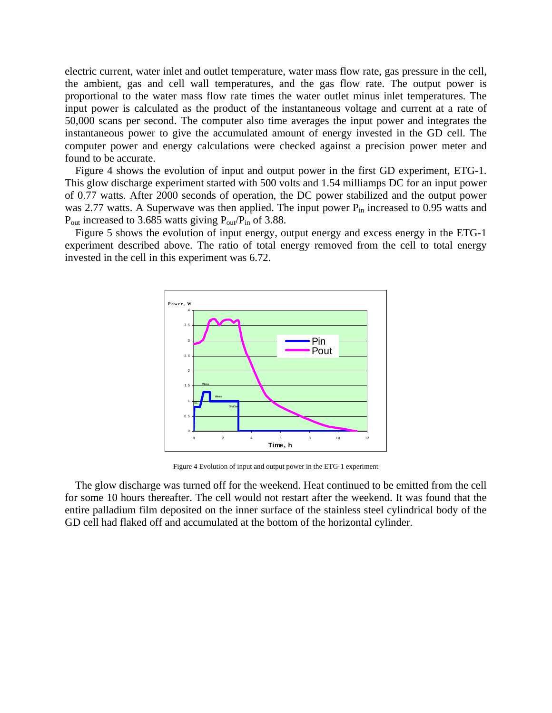electric current, water inlet and outlet temperature, water mass flow rate, gas pressure in the cell, the ambient, gas and cell wall temperatures, and the gas flow rate. The output power is proportional to the water mass flow rate times the water outlet minus inlet temperatures. The input power is calculated as the product of the instantaneous voltage and current at a rate of 50,000 scans per second. The computer also time averages the input power and integrates the instantaneous power to give the accumulated amount of energy invested in the GD cell. The computer power and energy calculations were checked against a precision power meter and found to be accurate.

Figure 4 shows the evolution of input and output power in the first GD experiment, ETG-1. This glow discharge experiment started with 500 volts and 1.54 milliamps DC for an input power of 0.77 watts. After 2000 seconds of operation, the DC power stabilized and the output power was 2.77 watts. A Superwave was then applied. The input power  $P_{in}$  increased to 0.95 watts and  $P_{\text{out}}$  increased to 3.685 watts giving  $P_{\text{out}}/P_{\text{in}}$  of 3.88.

Figure 5 shows the evolution of input energy, output energy and excess energy in the ETG-1 experiment described above. The ratio of total energy removed from the cell to total energy invested in the cell in this experiment was 6.72.



Figure 4 Evolution of input and output power in the ETG-1 experiment

The glow discharge was turned off for the weekend. Heat continued to be emitted from the cell for some 10 hours thereafter. The cell would not restart after the weekend. It was found that the entire palladium film deposited on the inner surface of the stainless steel cylindrical body of the GD cell had flaked off and accumulated at the bottom of the horizontal cylinder.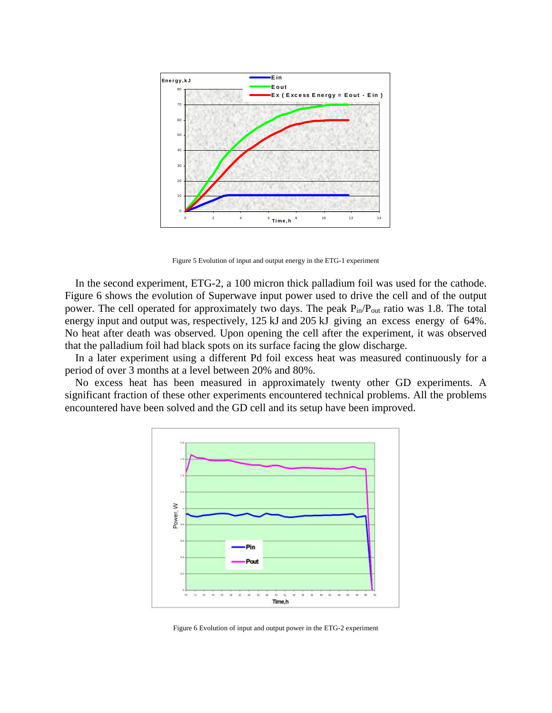

Figure 5 Evolution of input and output energy in the ETG-1 experiment

In the second experiment, ETG-2, a 100 micron thick palladium foil was used for the cathode. Figure 6 shows the evolution of Superwave input power used to drive the cell and of the output power. The cell operated for approximately two days. The peak  $P_{in}/P_{out}$  ratio was 1.8. The total energy input and output was, respectively, 125 kJ and 205 kJ giving an excess energy of 64%. No heat after death was observed. Upon opening the cell after the experiment, it was observed that the palladium foil had black spots on its surface facing the glow discharge.

In a later experiment using a different Pd foil excess heat was measured continuously for a period of over 3 months at a level between 20% and 80%.

No excess heat has been measured in approximately twenty other GD experiments. A significant fraction of these other experiments encountered technical problems. All the problems encountered have been solved and the GD cell and its setup have been improved.



Figure 6 Evolution of input and output power in the ETG-2 experiment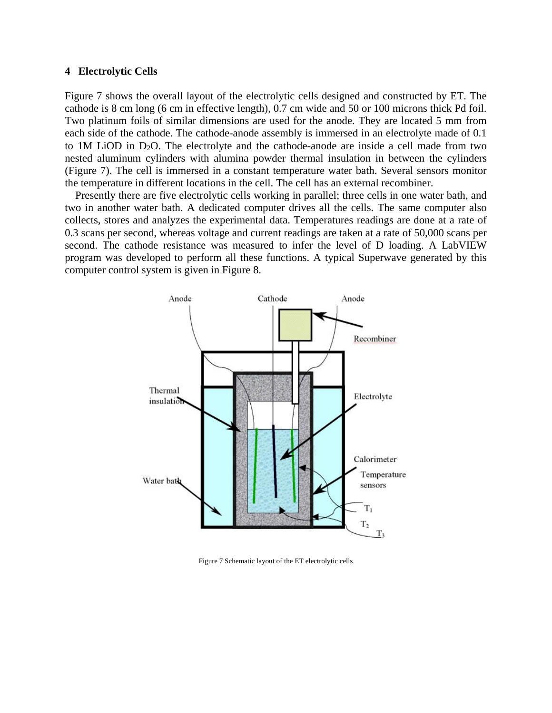## **4 Electrolytic Cells**

Figure 7 shows the overall layout of the electrolytic cells designed and constructed by ET. The cathode is 8 cm long (6 cm in effective length), 0.7 cm wide and 50 or 100 microns thick Pd foil. Two platinum foils of similar dimensions are used for the anode. They are located 5 mm from each side of the cathode. The cathode-anode assembly is immersed in an electrolyte made of 0.1 to 1M LiOD in  $D_2O$ . The electrolyte and the cathode-anode are inside a cell made from two nested aluminum cylinders with alumina powder thermal insulation in between the cylinders (Figure 7). The cell is immersed in a constant temperature water bath. Several sensors monitor the temperature in different locations in the cell. The cell has an external recombiner.

Presently there are five electrolytic cells working in parallel; three cells in one water bath, and two in another water bath. A dedicated computer drives all the cells. The same computer also collects, stores and analyzes the experimental data. Temperatures readings are done at a rate of 0.3 scans per second, whereas voltage and current readings are taken at a rate of 50,000 scans per second. The cathode resistance was measured to infer the level of D loading. A LabVIEW program was developed to perform all these functions. A typical Superwave generated by this computer control system is given in Figure 8.



Figure 7 Schematic layout of the ET electrolytic cells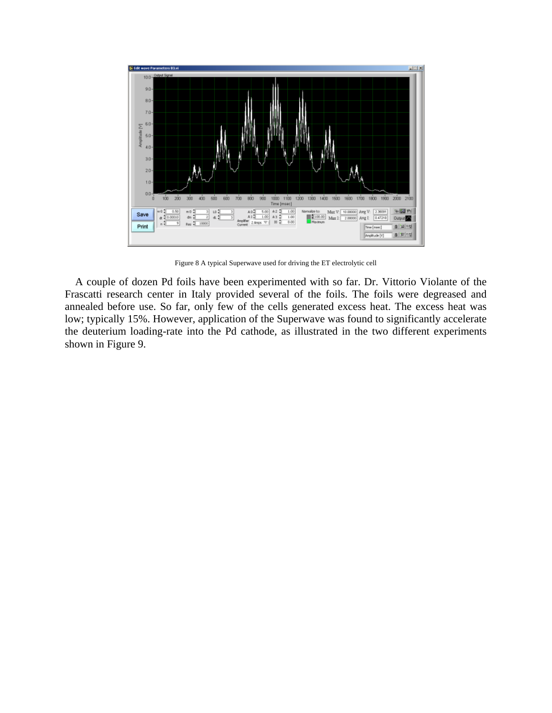

Figure 8 A typical Superwave used for driving the ET electrolytic cell

A couple of dozen Pd foils have been experimented with so far. Dr. Vittorio Violante of the Frascatti research center in Italy provided several of the foils. The foils were degreased and annealed before use. So far, only few of the cells generated excess heat. The excess heat was low; typically 15%. However, application of the Superwave was found to significantly accelerate the deuterium loading-rate into the Pd cathode, as illustrated in the two different experiments shown in Figure 9.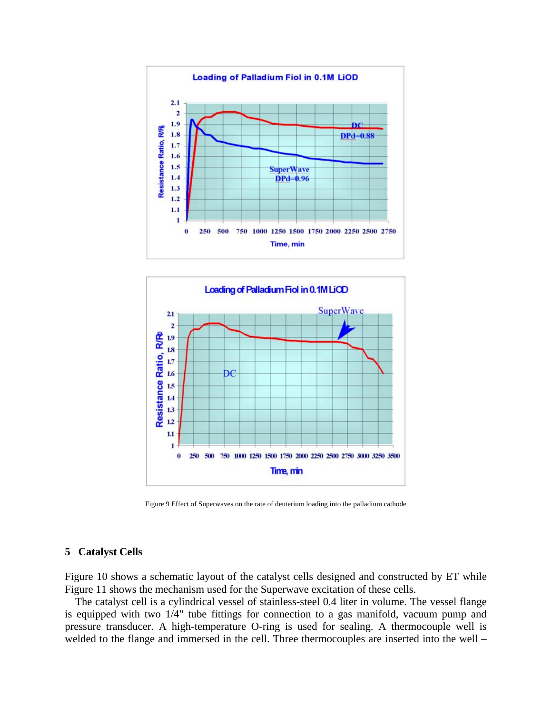



Figure 9 Effect of Superwaves on the rate of deuterium loading into the palladium cathode

## **Catalyst Cells 5**

Figure 10 shows a schematic layout of the catalyst cells designed and constructed by ET while Figure 11 shows the mechanism used for the Superwave excitation of these cells.

The catalyst cell is a cylindrical vessel of stainless-steel 0.4 liter in volume. The vessel flange is equipped with two 1/4" tube fittings for connection to a gas manifold, vacuum pump and pressure transducer. A high-temperature O-ring is used for sealing. A thermocouple well is welded to the flange and immersed in the cell. Three thermocouples are inserted into the well –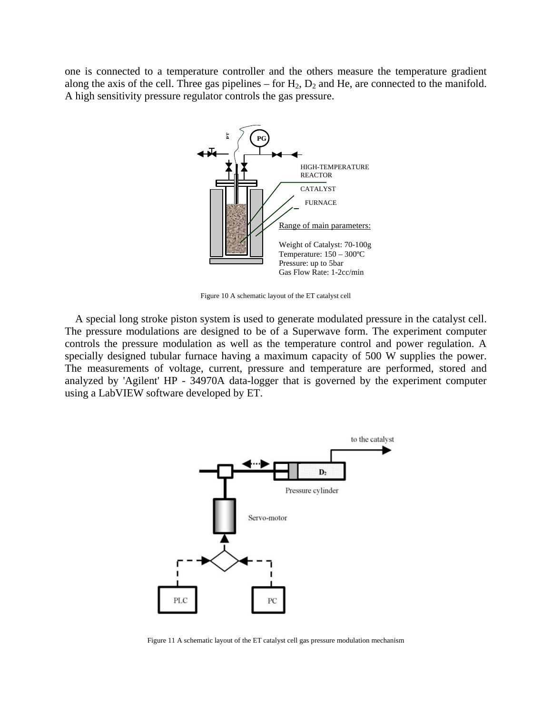one is connected to a temperature controller and the others measure the temperature gradient along the axis of the cell. Three gas pipelines – for  $H_2$ ,  $D_2$  and He, are connected to the manifold. A high sensitivity pressure regulator controls the gas pressure.



Figure 10 A schematic layout of the ET catalyst cell

A special long stroke piston system is used to generate modulated pressure in the catalyst cell. The pressure modulations are designed to be of a Superwave form. The experiment computer co ntrols the pressure modulation as well as the temperature control and power regulation. A specially designed tubular furnace having a maximum capacity of 500 W supplies the power. The measurements of voltage, current, pressure and temperature are performed, stored and analyzed by 'Agilent' HP - 34970A data-logger that is governed by the experiment computer using a LabVIEW software developed by ET.



Figure 11 A schematic layout of the ET catalyst cell gas pressure modulation mechanism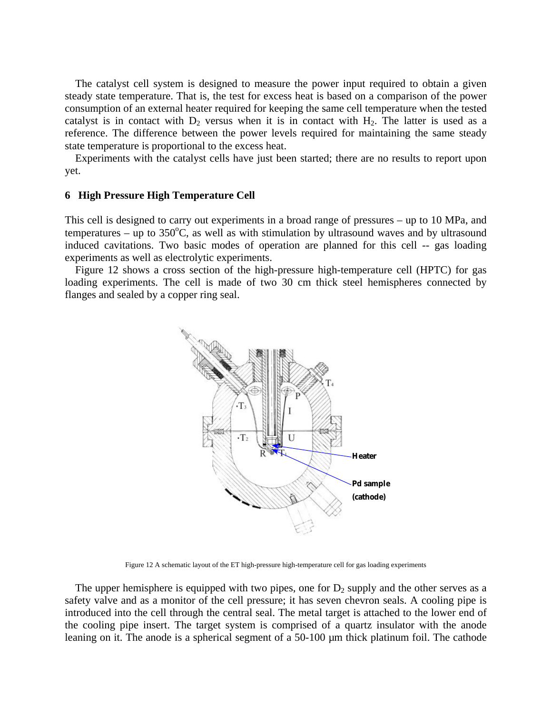The catalyst cell system is designed to measure the power input required to obtain a given steady state temperature. That is, the test for excess heat is based on a comparison of the power co nsumption of an external heater required for keeping the same cell temperature when the tested catalyst is in contact with  $D_2$  versus when it is in contact with  $H_2$ . The latter is used as a reference. The difference between the power levels required for maintaining the same steady state temperature is proportional to the excess heat.

Experiments with the catalyst cells have just been started; there are no results to report upon yet.

#### **igh** Pressure High Temperature Cell

This cell is designed to carry out experiments in a broad range of pressures – up to 10 MPa, and temperatures – up to  $350^{\circ}$ C, as well as with stimulation by ultrasound waves and by ultrasound induced cavitations. Two basic modes of operation are planned for this cell -- gas loading experiments as well as electrolytic experiments.

loading experiments. The cell is made of two 30 cm thick steel hemispheres connected by fla nges and sealed by a copper ring seal. Figure 12 shows a cross section of the high-pressure high-temperature cell (HPTC) for gas



Figure 12 A schematic layout of the ET high-pressure high-temperature cell for gas loading experiments

The upper hemisphere is equipped with two pipes, one for  $D_2$  supply and the other serves as a safety valve and as a monitor of the cell pressure; it has seven chevron seals. A cooling pipe is in troduced into the cell through the central seal. The metal target is attached to the lower end of the cooling pipe insert. The target system is comprised of a quartz insulator with the anode leaning on it. The anode is a spherical segment of a 50-100  $\mu$ m thick platinum foil. The cathode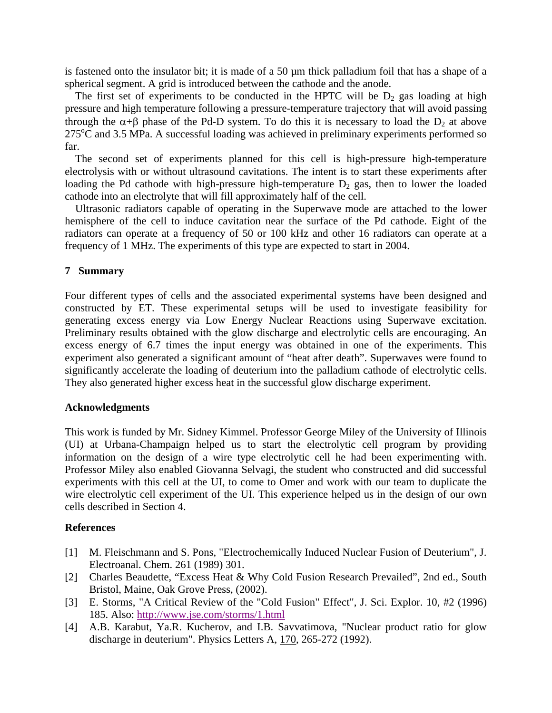is fastened onto the insulator bit; it is made of a 50  $\mu$ m thick palladium foil that has a shape of a spherical segment. A grid is introduced between the cathode and the anode.

The first set of experiments to be conducted in the HPTC will be  $D_2$  gas loading at high pressure and high temperature following a pressure-temperature trajectory that will avoid passing through the  $\alpha + \beta$  phase of the Pd-D system. To do this it is necessary to load the  $D_2$  at above  $275^{\circ}$ C and 3.5 MPa. A successful loading was achieved in preliminary experiments performed so far.

electrolysis with or without ultrasound cavitations. The intent is to start these experiments after loading the Pd cathode with high-pressure high-temperature  $D_2$  gas, then to lower the loaded The second set of experiments planned for this cell is high-pressure high-temperature cathode into an electrolyte that will fill approximately half of the cell.

hemisphere of the cell to induce cavitation near the surface of the Pd cathode. Eight of the ra diators can operate at a frequency of 50 or 100 kHz and other 16 radiators can operate at a Ultrasonic radiators capable of operating in the Superwave mode are attached to the lower frequency of 1 MHz. The experiments of this type are expected to start in 2004.

## **7 Summary**

Four different types of cells and the associated experimental systems have been designed and constructed by ET. These experimental setups will be used to investigate feasibility for generating excess energy via Low Energy Nuclear Reactions using Superwave excitation. Preliminary results obtained with the glow discharge and electrolytic cells are encouraging. An excess energy of 6.7 times the input energy was obtained in one of the experiments. This experiment also generated a significant amount of "heat after death". Superwaves were found to significantly accelerate the loading of deuterium into the palladium cathode of electrolytic cells. They also generated higher excess heat in the successful glow discharge experiment.

## **Acknowledgments**

This work is funded by Mr. Sidney Kimmel. Professor George Miley of the University of Illinois (UI) at Urbana-Champaign helped us to start the electrolytic cell program by providing information on the design of a wire type electrolytic cell he had been experimenting with. Professor Miley also enabled Giovanna Selvagi, the student who constructed and did successful experiments with this cell at the UI, to come to Omer and work with our team to duplicate the wire electrolytic cell experiment of the UI. This experience helped us in the design of our own cells described in Section 4.

#### **References**

- [1] M. Fleischmann and S. Pons, "Electrochemically Induced Nuclear Fusion of Deuterium", J. Electroanal. Chem. 261 (1989) 301.
- Bristol, Maine, Oak Grove Press, (2002). [2] Charles Beaudette, "Excess Heat & Why Cold Fusion Research Prevailed", 2nd ed., South
- 185. Also: http://www.jse.com/storms/1.html [3] E. Storms, "A Critical Review of the "Cold Fusion" Effect", J. Sci. Explor. 10, #2 (1996)
- discharge in deuterium". Physics Letters A, 170, 265-272 (1992). [4] A.B. Karabut, Ya.R. Kucherov, and I.B. Savvatimova, "Nuclear product ratio for glow